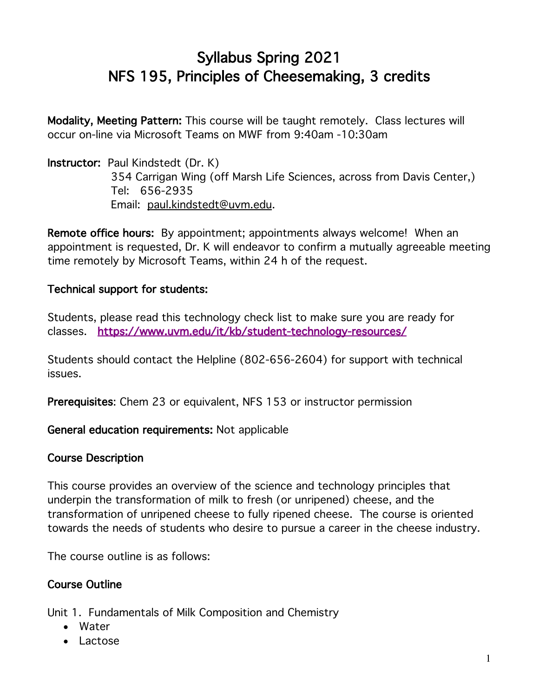# Syllabus Spring 2021 NFS 195, Principles of Cheesemaking, 3 credits

Modality, Meeting Pattern: This course will be taught remotely. Class lectures will occur on-line via Microsoft Teams on MWF from 9:40am -10:30am

Instructor: Paul Kindstedt (Dr. K) 354 Carrigan Wing (off Marsh Life Sciences, across from Davis Center,) Tel: 656-2935 Email: paul.kindstedt@uvm.edu.

Remote office hours: By appointment; appointments always welcome! When an appointment is requested, Dr. K will endeavor to confirm a mutually agreeable meeting time remotely by Microsoft Teams, within 24 h of the request.

## Technical support for students:

Students, please read this technology check list to make sure you are ready for classes. https://www.uvm.edu/it/kb/student-technology-resources/

Students should contact the Helpline (802-656-2604) for support with technical issues.

Prerequisites: Chem 23 or equivalent, NFS 153 or instructor permission

General education requirements: Not applicable

#### Course Description

This course provides an overview of the science and technology principles that underpin the transformation of milk to fresh (or unripened) cheese, and the transformation of unripened cheese to fully ripened cheese. The course is oriented towards the needs of students who desire to pursue a career in the cheese industry.

The course outline is as follows:

## Course Outline

Unit 1. Fundamentals of Milk Composition and Chemistry

- Water
- Lactose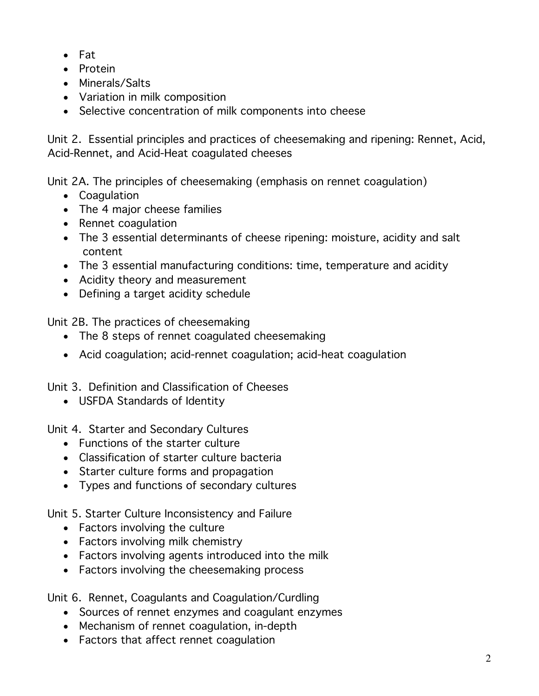- Fat
- Protein
- Minerals/Salts
- Variation in milk composition
- Selective concentration of milk components into cheese

Unit 2. Essential principles and practices of cheesemaking and ripening: Rennet, Acid, Acid-Rennet, and Acid-Heat coagulated cheeses

Unit 2A. The principles of cheesemaking (emphasis on rennet coagulation)

- Coagulation
- The 4 major cheese families
- Rennet coagulation
- The 3 essential determinants of cheese ripening: moisture, acidity and salt content
- The 3 essential manufacturing conditions: time, temperature and acidity
- Acidity theory and measurement
- Defining a target acidity schedule

Unit 2B. The practices of cheesemaking

- The 8 steps of rennet coagulated cheesemaking
- Acid coagulation; acid-rennet coagulation; acid-heat coagulation

Unit 3. Definition and Classification of Cheeses

• USFDA Standards of Identity

Unit 4. Starter and Secondary Cultures

- Functions of the starter culture
- Classification of starter culture bacteria
- Starter culture forms and propagation
- Types and functions of secondary cultures

Unit 5. Starter Culture Inconsistency and Failure

- Factors involving the culture
- Factors involving milk chemistry
- Factors involving agents introduced into the milk
- Factors involving the cheesemaking process

Unit 6. Rennet, Coagulants and Coagulation/Curdling

- Sources of rennet enzymes and coagulant enzymes
- Mechanism of rennet coagulation, in-depth
- Factors that affect rennet coagulation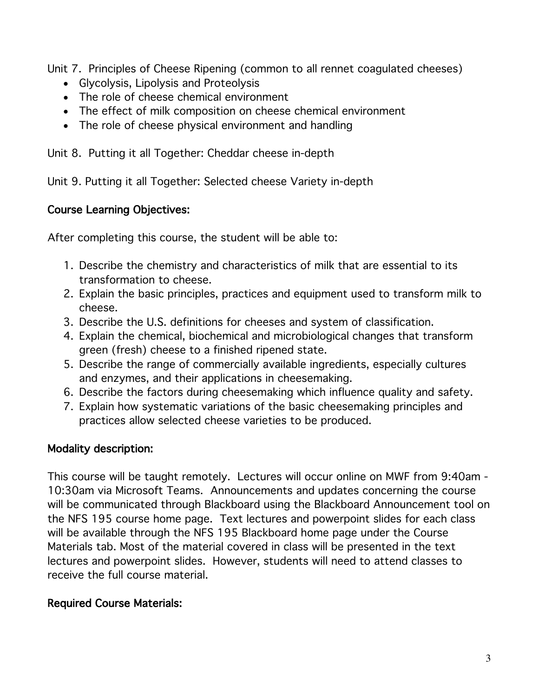Unit 7. Principles of Cheese Ripening (common to all rennet coagulated cheeses)

- Glycolysis, Lipolysis and Proteolysis
- The role of cheese chemical environment
- The effect of milk composition on cheese chemical environment
- The role of cheese physical environment and handling

Unit 8. Putting it all Together: Cheddar cheese in-depth

Unit 9. Putting it all Together: Selected cheese Variety in-depth

## Course Learning Objectives:

After completing this course, the student will be able to:

- 1. Describe the chemistry and characteristics of milk that are essential to its transformation to cheese.
- 2. Explain the basic principles, practices and equipment used to transform milk to cheese.
- 3. Describe the U.S. definitions for cheeses and system of classification.
- 4. Explain the chemical, biochemical and microbiological changes that transform green (fresh) cheese to a finished ripened state.
- 5. Describe the range of commercially available ingredients, especially cultures and enzymes, and their applications in cheesemaking.
- 6. Describe the factors during cheesemaking which influence quality and safety.
- 7. Explain how systematic variations of the basic cheesemaking principles and practices allow selected cheese varieties to be produced.

## Modality description:

This course will be taught remotely. Lectures will occur online on MWF from 9:40am - 10:30am via Microsoft Teams. Announcements and updates concerning the course will be communicated through Blackboard using the Blackboard Announcement tool on the NFS 195 course home page. Text lectures and powerpoint slides for each class will be available through the NFS 195 Blackboard home page under the Course Materials tab. Most of the material covered in class will be presented in the text lectures and powerpoint slides. However, students will need to attend classes to receive the full course material.

## Required Course Materials: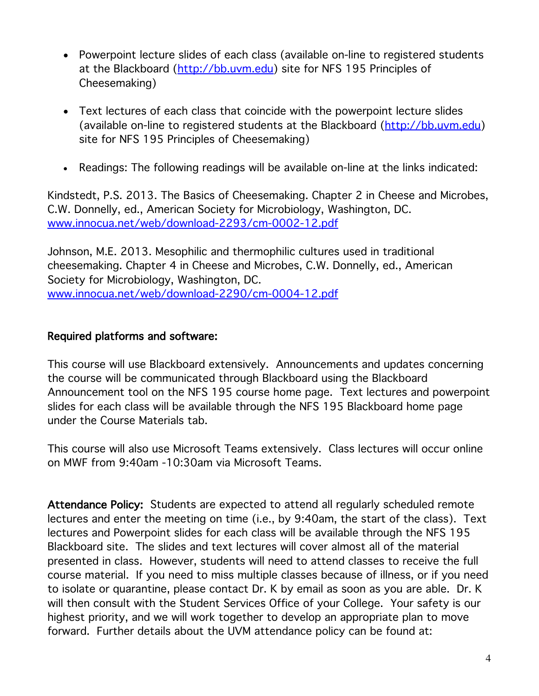- Powerpoint lecture slides of each class (available on-line to registered students at the Blackboard (http://bb.uvm.edu) site for NFS 195 Principles of Cheesemaking)
- Text lectures of each class that coincide with the powerpoint lecture slides (available on-line to registered students at the Blackboard (http://bb.uvm.edu) site for NFS 195 Principles of Cheesemaking)
- Readings: The following readings will be available on-line at the links indicated:

Kindstedt, P.S. 2013. The Basics of Cheesemaking. Chapter 2 in Cheese and Microbes, C.W. Donnelly, ed., American Society for Microbiology, Washington, DC. www.innocua.net/web/download-2293/cm-0002-12.pdf

Johnson, M.E. 2013. Mesophilic and thermophilic cultures used in traditional cheesemaking. Chapter 4 in Cheese and Microbes, C.W. Donnelly, ed., American Society for Microbiology, Washington, DC. www.innocua.net/web/download-2290/cm-0004-12.pdf

#### Required platforms and software:

This course will use Blackboard extensively. Announcements and updates concerning the course will be communicated through Blackboard using the Blackboard Announcement tool on the NFS 195 course home page. Text lectures and powerpoint slides for each class will be available through the NFS 195 Blackboard home page under the Course Materials tab.

This course will also use Microsoft Teams extensively. Class lectures will occur online on MWF from 9:40am -10:30am via Microsoft Teams.

Attendance Policy: Students are expected to attend all regularly scheduled remote lectures and enter the meeting on time (i.e., by 9:40am, the start of the class). Text lectures and Powerpoint slides for each class will be available through the NFS 195 Blackboard site. The slides and text lectures will cover almost all of the material presented in class. However, students will need to attend classes to receive the full course material. If you need to miss multiple classes because of illness, or if you need to isolate or quarantine, please contact Dr. K by email as soon as you are able. Dr. K will then consult with the Student Services Office of your College. Your safety is our highest priority, and we will work together to develop an appropriate plan to move forward. Further details about the UVM attendance policy can be found at: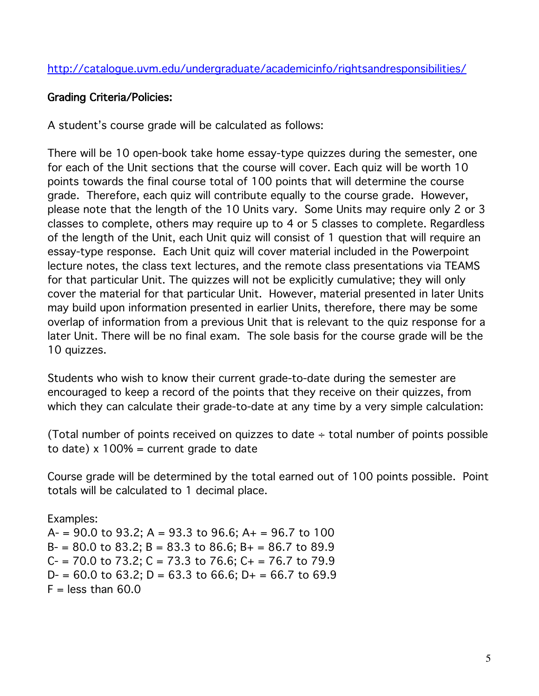## Grading Criteria/Policies:

A student's course grade will be calculated as follows:

There will be 10 open-book take home essay-type quizzes during the semester, one for each of the Unit sections that the course will cover. Each quiz will be worth 10 points towards the final course total of 100 points that will determine the course grade. Therefore, each quiz will contribute equally to the course grade. However, please note that the length of the 10 Units vary. Some Units may require only 2 or 3 classes to complete, others may require up to 4 or 5 classes to complete. Regardless of the length of the Unit, each Unit quiz will consist of 1 question that will require an essay-type response. Each Unit quiz will cover material included in the Powerpoint lecture notes, the class text lectures, and the remote class presentations via TEAMS for that particular Unit. The quizzes will not be explicitly cumulative; they will only cover the material for that particular Unit. However, material presented in later Units may build upon information presented in earlier Units, therefore, there may be some overlap of information from a previous Unit that is relevant to the quiz response for a later Unit. There will be no final exam. The sole basis for the course grade will be the 10 quizzes.

Students who wish to know their current grade-to-date during the semester are encouraged to keep a record of the points that they receive on their quizzes, from which they can calculate their grade-to-date at any time by a very simple calculation:

(Total number of points received on quizzes to date  $\div$  total number of points possible to date)  $x$  100% = current grade to date

Course grade will be determined by the total earned out of 100 points possible. Point totals will be calculated to 1 decimal place.

Examples: A- = 90.0 to 93.2; A = 93.3 to 96.6; A+ = 96.7 to 100  $B = 80.0$  to 83.2;  $B = 83.3$  to 86.6;  $B = 86.7$  to 89.9  $C = 70.0$  to  $73.2$ ;  $C = 73.3$  to  $76.6$ ;  $C = 76.7$  to  $79.9$  $D = 60.0$  to 63.2;  $D = 63.3$  to 66.6;  $D + 66.7$  to 69.9  $F =$  less than 60.0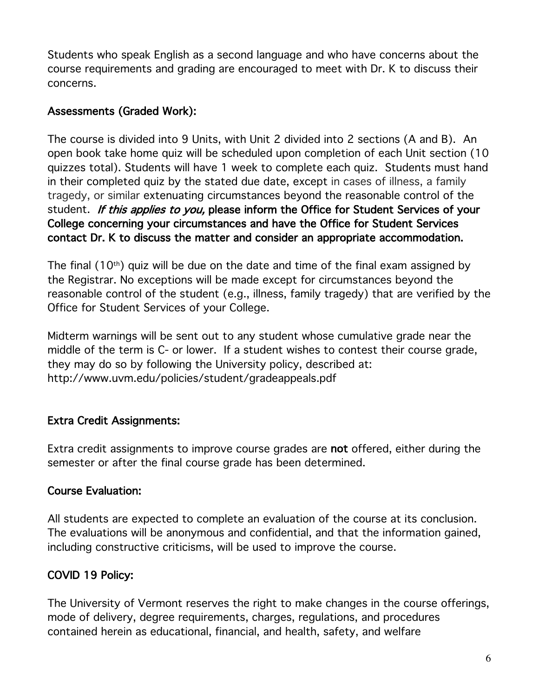Students who speak English as a second language and who have concerns about the course requirements and grading are encouraged to meet with Dr. K to discuss their concerns.

## Assessments (Graded Work):

The course is divided into 9 Units, with Unit 2 divided into 2 sections (A and B). An open book take home quiz will be scheduled upon completion of each Unit section (10 quizzes total). Students will have 1 week to complete each quiz. Students must hand in their completed quiz by the stated due date, except in cases of illness, a family tragedy, or similar extenuating circumstances beyond the reasonable control of the student. If this applies to you, please inform the Office for Student Services of your College concerning your circumstances and have the Office for Student Services contact Dr. K to discuss the matter and consider an appropriate accommodation.

The final  $(10<sup>th</sup>)$  quiz will be due on the date and time of the final exam assigned by the Registrar. No exceptions will be made except for circumstances beyond the reasonable control of the student (e.g., illness, family tragedy) that are verified by the Office for Student Services of your College.

Midterm warnings will be sent out to any student whose cumulative grade near the middle of the term is C- or lower. If a student wishes to contest their course grade, they may do so by following the University policy, described at: http://www.uvm.edu/policies/student/gradeappeals.pdf

# Extra Credit Assignments:

Extra credit assignments to improve course grades are not offered, either during the semester or after the final course grade has been determined.

# Course Evaluation:

All students are expected to complete an evaluation of the course at its conclusion. The evaluations will be anonymous and confidential, and that the information gained, including constructive criticisms, will be used to improve the course.

# COVID 19 Policy:

The University of Vermont reserves the right to make changes in the course offerings, mode of delivery, degree requirements, charges, regulations, and procedures contained herein as educational, financial, and health, safety, and welfare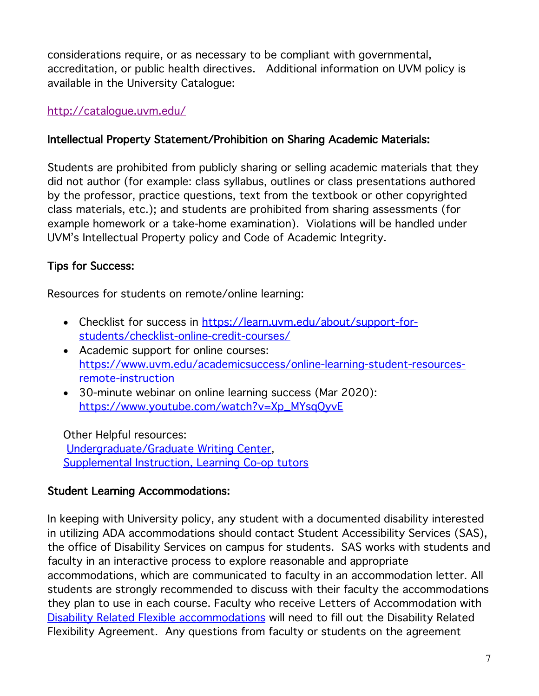considerations require, or as necessary to be compliant with governmental, accreditation, or public health directives. Additional information on UVM policy is available in the University Catalogue:

## http://catalogue.uvm.edu/

# Intellectual Property Statement/Prohibition on Sharing Academic Materials:

Students are prohibited from publicly sharing or selling academic materials that they did not author (for example: class syllabus, outlines or class presentations authored by the professor, practice questions, text from the textbook or other copyrighted class materials, etc.); and students are prohibited from sharing assessments (for example homework or a take-home examination). Violations will be handled under UVM's Intellectual Property policy and Code of Academic Integrity.

# Tips for Success:

Resources for students on remote/online learning:

- Checklist for success in https://learn.uvm.edu/about/support-forstudents/checklist-online-credit-courses/
- Academic support for online courses: https://www.uvm.edu/academicsuccess/online-learning-student-resourcesremote-instruction
- 30-minute webinar on online learning success (Mar 2020): https://www.youtube.com/watch?v=Xp\_MYsqQyvE

Other Helpful resources: Undergraduate/Graduate Writing Center, Supplemental Instruction, Learning Co-op tutors

## Student Learning Accommodations:

In keeping with University policy, any student with a documented disability interested in utilizing ADA accommodations should contact Student Accessibility Services (SAS), the office of Disability Services on campus for students. SAS works with students and faculty in an interactive process to explore reasonable and appropriate accommodations, which are communicated to faculty in an accommodation letter. All students are strongly recommended to discuss with their faculty the accommodations they plan to use in each course. Faculty who receive Letters of Accommodation with Disability Related Flexible accommodations will need to fill out the Disability Related Flexibility Agreement. Any questions from faculty or students on the agreement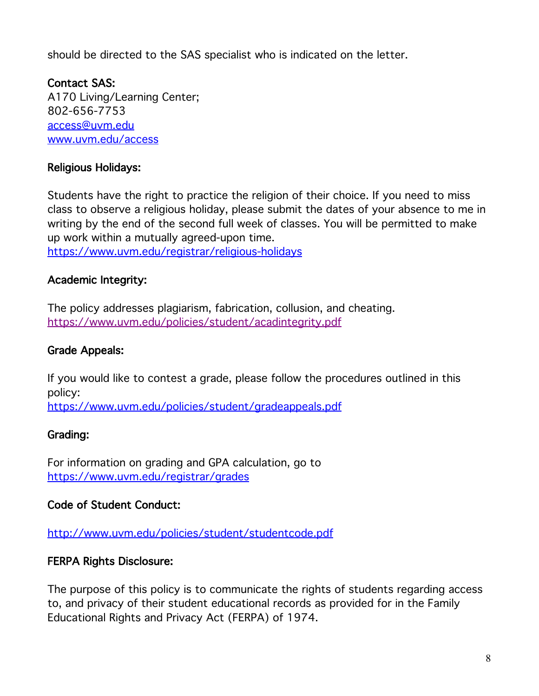should be directed to the SAS specialist who is indicated on the letter.

Contact SAS: A170 Living/Learning Center; 802-656-7753 access@uvm.edu www.uvm.edu/access

## Religious Holidays:

Students have the right to practice the religion of their choice. If you need to miss class to observe a religious holiday, please submit the dates of your absence to me in writing by the end of the second full week of classes. You will be permitted to make up work within a mutually agreed-upon time.

https://www.uvm.edu/registrar/religious-holidays

## Academic Integrity:

The policy addresses plagiarism, fabrication, collusion, and cheating. https://www.uvm.edu/policies/student/acadintegrity.pdf

#### Grade Appeals:

If you would like to contest a grade, please follow the procedures outlined in this policy:

https://www.uvm.edu/policies/student/gradeappeals.pdf

#### Grading:

For information on grading and GPA calculation, go to https://www.uvm.edu/registrar/grades

#### Code of Student Conduct:

http://www.uvm.edu/policies/student/studentcode.pdf

#### FERPA Rights Disclosure:

The purpose of this policy is to communicate the rights of students regarding access to, and privacy of their student educational records as provided for in the Family Educational Rights and Privacy Act (FERPA) of 1974.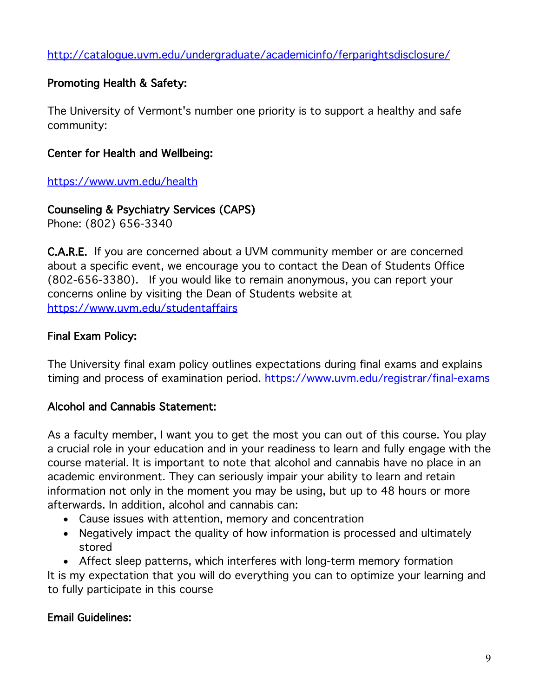http://catalogue.uvm.edu/undergraduate/academicinfo/ferparightsdisclosure/

## Promoting Health & Safety:

The University of Vermont's number one priority is to support a healthy and safe community:

## Center for Health and Wellbeing:

https://www.uvm.edu/health

# Counseling & Psychiatry Services (CAPS)

Phone: (802) 656-3340

C.A.R.E. If you are concerned about a UVM community member or are concerned about a specific event, we encourage you to contact the Dean of Students Office (802-656-3380). If you would like to remain anonymous, you can report your concerns online by visiting the Dean of Students website at https://www.uvm.edu/studentaffairs

## Final Exam Policy:

The University final exam policy outlines expectations during final exams and explains timing and process of examination period. https://www.uvm.edu/registrar/final-exams

## Alcohol and Cannabis Statement:

As a faculty member, I want you to get the most you can out of this course. You play a crucial role in your education and in your readiness to learn and fully engage with the course material. It is important to note that alcohol and cannabis have no place in an academic environment. They can seriously impair your ability to learn and retain information not only in the moment you may be using, but up to 48 hours or more afterwards. In addition, alcohol and cannabis can:

- Cause issues with attention, memory and concentration
- Negatively impact the quality of how information is processed and ultimately stored
- Affect sleep patterns, which interferes with long-term memory formation

It is my expectation that you will do everything you can to optimize your learning and to fully participate in this course

## Email Guidelines: